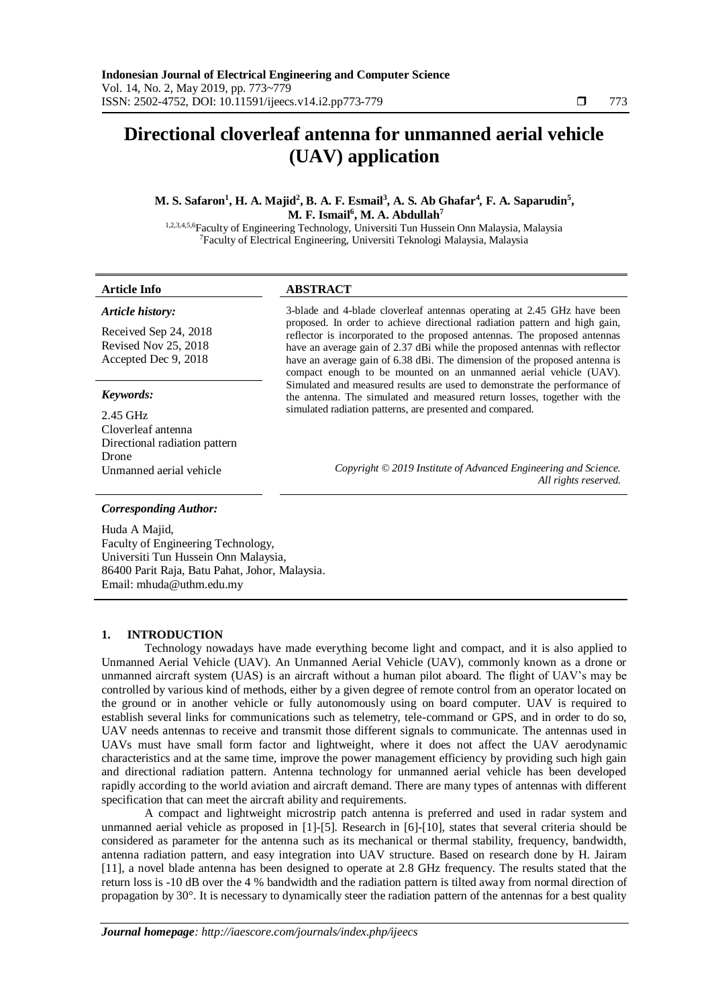# **Directional cloverleaf antenna for unmanned aerial vehicle (UAV) application**

**M. S. Safaron<sup>1</sup> , H. A. Majid<sup>2</sup> , B. A. F. Esmail<sup>3</sup> , A. S. Ab Ghafar<sup>4</sup>** *,* **F. A. Saparudin<sup>5</sup> , M. F. Ismail<sup>6</sup> , M. A. Abdullah<sup>7</sup>**

1,2,3,4,5,6Faculty of Engineering Technology, Universiti Tun Hussein Onn Malaysia, Malaysia <sup>7</sup>Faculty of Electrical Engineering, Universiti Teknologi Malaysia, Malaysia

#### **Article Info ABSTRACT**

*Article history:*

Received Sep 24, 2018 Revised Nov 25, 2018 Accepted Dec 9, 2018

# *Keywords:*

2.45 GHz Cloverleaf antenna Directional radiation pattern Drone

3-blade and 4-blade cloverleaf antennas operating at 2.45 GHz have been proposed. In order to achieve directional radiation pattern and high gain, reflector is incorporated to the proposed antennas. The proposed antennas have an average gain of 2.37 dBi while the proposed antennas with reflector have an average gain of 6.38 dBi. The dimension of the proposed antenna is compact enough to be mounted on an unmanned aerial vehicle (UAV). Simulated and measured results are used to demonstrate the performance of the antenna. The simulated and measured return losses, together with the simulated radiation patterns, are presented and compared.

Unmanned aerial vehicle *Copyright © 2019 Institute of Advanced Engineering and Science. All rights reserved.*

# *Corresponding Author:*

Huda A Majid, Faculty of Engineering Technology, Universiti Tun Hussein Onn Malaysia, 86400 Parit Raja, Batu Pahat, Johor, Malaysia. Email: mhuda@uthm.edu.my

### **1. INTRODUCTION**

Technology nowadays have made everything become light and compact, and it is also applied to Unmanned Aerial Vehicle (UAV). An Unmanned Aerial Vehicle (UAV), commonly known as a drone or unmanned aircraft system (UAS) is an aircraft without a human pilot aboard. The flight of UAV's may be controlled by various kind of methods, either by a given degree of remote control from an operator located on the ground or in another vehicle or fully autonomously using on board computer. UAV is required to establish several links for communications such as telemetry, tele-command or GPS, and in order to do so, UAV needs antennas to receive and transmit those different signals to communicate. The antennas used in UAVs must have small form factor and lightweight, where it does not affect the UAV aerodynamic characteristics and at the same time, improve the power management efficiency by providing such high gain and directional radiation pattern. Antenna technology for unmanned aerial vehicle has been developed rapidly according to the world aviation and aircraft demand. There are many types of antennas with different specification that can meet the aircraft ability and requirements.

A compact and lightweight microstrip patch antenna is preferred and used in radar system and unmanned aerial vehicle as proposed in [1]-[5]. Research in [6]-[10], states that several criteria should be considered as parameter for the antenna such as its mechanical or thermal stability, frequency, bandwidth, antenna radiation pattern, and easy integration into UAV structure. Based on research done by H. Jairam [11], a novel blade antenna has been designed to operate at 2.8 GHz frequency. The results stated that the return loss is -10 dB over the 4 % bandwidth and the radiation pattern is tilted away from normal direction of propagation by 30°. It is necessary to dynamically steer the radiation pattern of the antennas for a best quality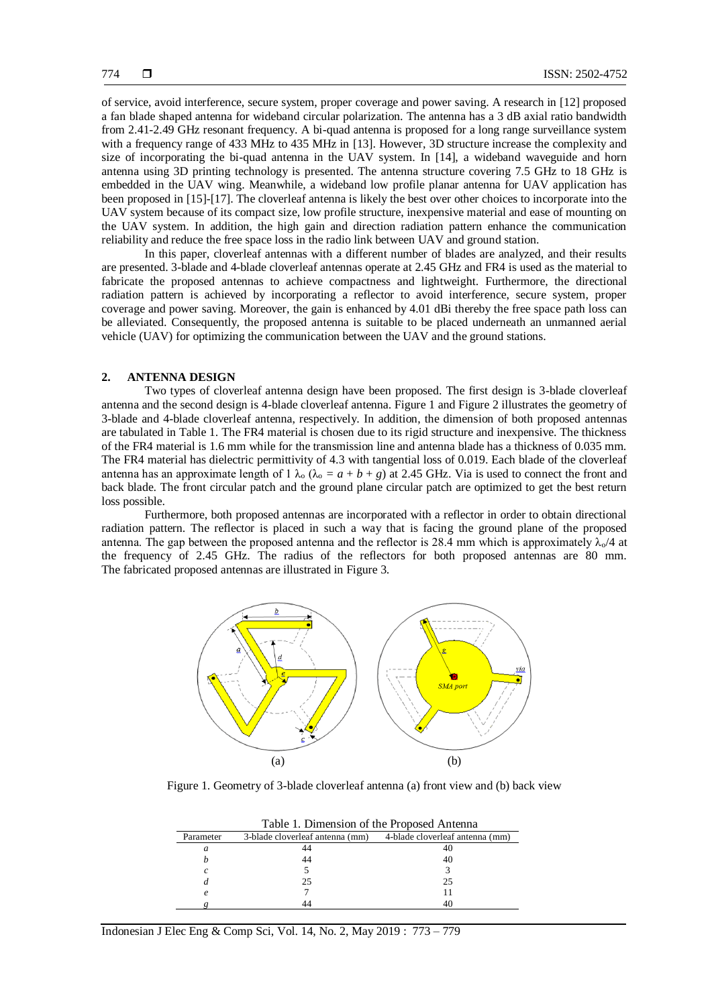of service, avoid interference, secure system, proper coverage and power saving. A research in [12] proposed a fan blade shaped antenna for wideband circular polarization. The antenna has a 3 dB axial ratio bandwidth from 2.41-2.49 GHz resonant frequency. A bi-quad antenna is proposed for a long range surveillance system with a frequency range of 433 MHz to 435 MHz in [13]. However, 3D structure increase the complexity and size of incorporating the bi-quad antenna in the UAV system. In [14], a wideband waveguide and horn antenna using 3D printing technology is presented. The antenna structure covering 7.5 GHz to 18 GHz is embedded in the UAV wing. Meanwhile, a wideband low profile planar antenna for UAV application has been proposed in [15]-[17]. The cloverleaf antenna is likely the best over other choices to incorporate into the UAV system because of its compact size, low profile structure, inexpensive material and ease of mounting on the UAV system. In addition, the high gain and direction radiation pattern enhance the communication reliability and reduce the free space loss in the radio link between UAV and ground station.

In this paper, cloverleaf antennas with a different number of blades are analyzed, and their results are presented. 3-blade and 4-blade cloverleaf antennas operate at 2.45 GHz and FR4 is used as the material to fabricate the proposed antennas to achieve compactness and lightweight. Furthermore, the directional radiation pattern is achieved by incorporating a reflector to avoid interference, secure system, proper coverage and power saving. Moreover, the gain is enhanced by 4.01 dBi thereby the free space path loss can be alleviated. Consequently, the proposed antenna is suitable to be placed underneath an unmanned aerial vehicle (UAV) for optimizing the communication between the UAV and the ground stations.

### **2. ANTENNA DESIGN**

Two types of cloverleaf antenna design have been proposed. The first design is 3-blade cloverleaf antenna and the second design is 4-blade cloverleaf antenna. Figure 1 and Figure 2 illustrates the geometry of 3-blade and 4-blade cloverleaf antenna, respectively. In addition, the dimension of both proposed antennas are tabulated in Table 1. The FR4 material is chosen due to its rigid structure and inexpensive. The thickness of the FR4 material is 1.6 mm while for the transmission line and antenna blade has a thickness of 0.035 mm. The FR4 material has dielectric permittivity of 4.3 with tangential loss of 0.019. Each blade of the cloverleaf antenna has an approximate length of 1  $\lambda_0$  ( $\lambda_0 = a + b + g$ ) at 2.45 GHz. Via is used to connect the front and back blade. The front circular patch and the ground plane circular patch are optimized to get the best return loss possible.

Furthermore, both proposed antennas are incorporated with a reflector in order to obtain directional radiation pattern. The reflector is placed in such a way that is facing the ground plane of the proposed antenna. The gap between the proposed antenna and the reflector is 28.4 mm which is approximately  $\lambda_0/4$  at the frequency of 2.45 GHz. The radius of the reflectors for both proposed antennas are 80 mm. The fabricated proposed antennas are illustrated in Figure 3.



Figure 1. Geometry of 3-blade cloverleaf antenna (a) front view and (b) back view

|           | Table 1. Dimension of the Proposed Antenna |                                 |
|-----------|--------------------------------------------|---------------------------------|
| Parameter | 3-blade cloverleaf antenna (mm)            | 4-blade cloverleaf antenna (mm) |
| a         | 44                                         |                                 |
|           | 44                                         | 40                              |
| C         |                                            |                                 |
|           | 25                                         | 25                              |
| e         |                                            |                                 |
|           |                                            |                                 |

Indonesian J Elec Eng & Comp Sci, Vol. 14, No. 2, May 2019 : 773 – 779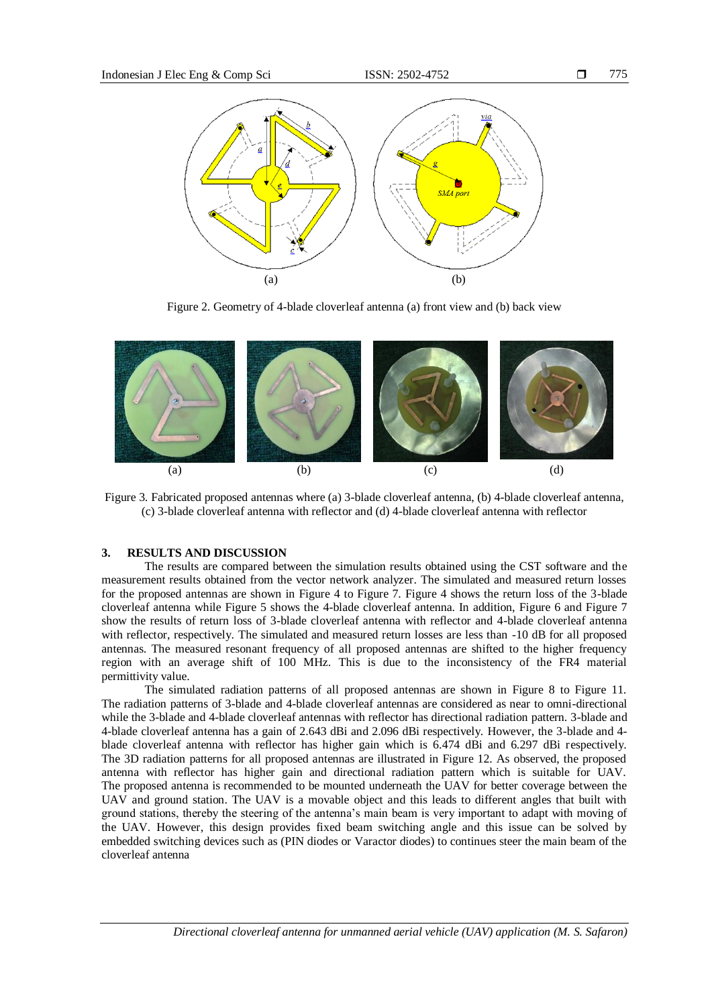

775

Figure 2. Geometry of 4-blade cloverleaf antenna (a) front view and (b) back view

 $(a)$  (b)



Figure 3. Fabricated proposed antennas where (a) 3-blade cloverleaf antenna, (b) 4-blade cloverleaf antenna, (c) 3-blade cloverleaf antenna with reflector and (d) 4-blade cloverleaf antenna with reflector

#### **3. RESULTS AND DISCUSSION**

The results are compared between the simulation results obtained using the CST software and the measurement results obtained from the vector network analyzer. The simulated and measured return losses for the proposed antennas are shown in Figure 4 to Figure 7. Figure 4 shows the return loss of the 3-blade cloverleaf antenna while Figure 5 shows the 4-blade cloverleaf antenna. In addition, Figure 6 and Figure 7 show the results of return loss of 3-blade cloverleaf antenna with reflector and 4-blade cloverleaf antenna with reflector, respectively. The simulated and measured return losses are less than -10 dB for all proposed antennas. The measured resonant frequency of all proposed antennas are shifted to the higher frequency region with an average shift of 100 MHz. This is due to the inconsistency of the FR4 material permittivity value.

The simulated radiation patterns of all proposed antennas are shown in Figure 8 to Figure 11. The radiation patterns of 3-blade and 4-blade cloverleaf antennas are considered as near to omni-directional while the 3-blade and 4-blade cloverleaf antennas with reflector has directional radiation pattern. 3-blade and 4-blade cloverleaf antenna has a gain of 2.643 dBi and 2.096 dBi respectively. However, the 3-blade and 4 blade cloverleaf antenna with reflector has higher gain which is 6.474 dBi and 6.297 dBi respectively. The 3D radiation patterns for all proposed antennas are illustrated in Figure 12. As observed, the proposed antenna with reflector has higher gain and directional radiation pattern which is suitable for UAV. The proposed antenna is recommended to be mounted underneath the UAV for better coverage between the UAV and ground station. The UAV is a movable object and this leads to different angles that built with ground stations, thereby the steering of the antenna's main beam is very important to adapt with moving of the UAV. However, this design provides fixed beam switching angle and this issue can be solved by embedded switching devices such as (PIN diodes or Varactor diodes) to continues steer the main beam of the cloverleaf antenna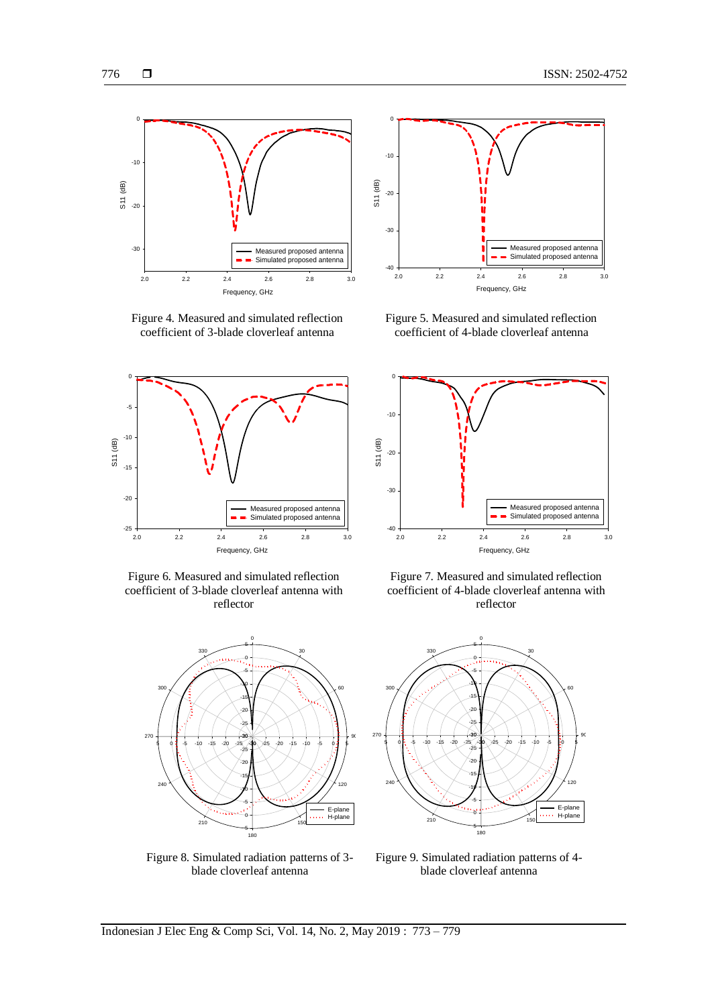

Figure 4. Measured and simulated reflection coefficient of 3-blade cloverleaf antenna



Figure 6. Measured and simulated reflection coefficient of 3-blade cloverleaf antenna with reflector



Figure 8. Simulated radiation patterns of 3 blade cloverleaf antenna



Figure 5. Measured and simulated reflection coefficient of 4-blade cloverleaf antenna



Figure 7. Measured and simulated reflection coefficient of 4-blade cloverleaf antenna with reflector



Figure 9. Simulated radiation patterns of 4 blade cloverleaf antenna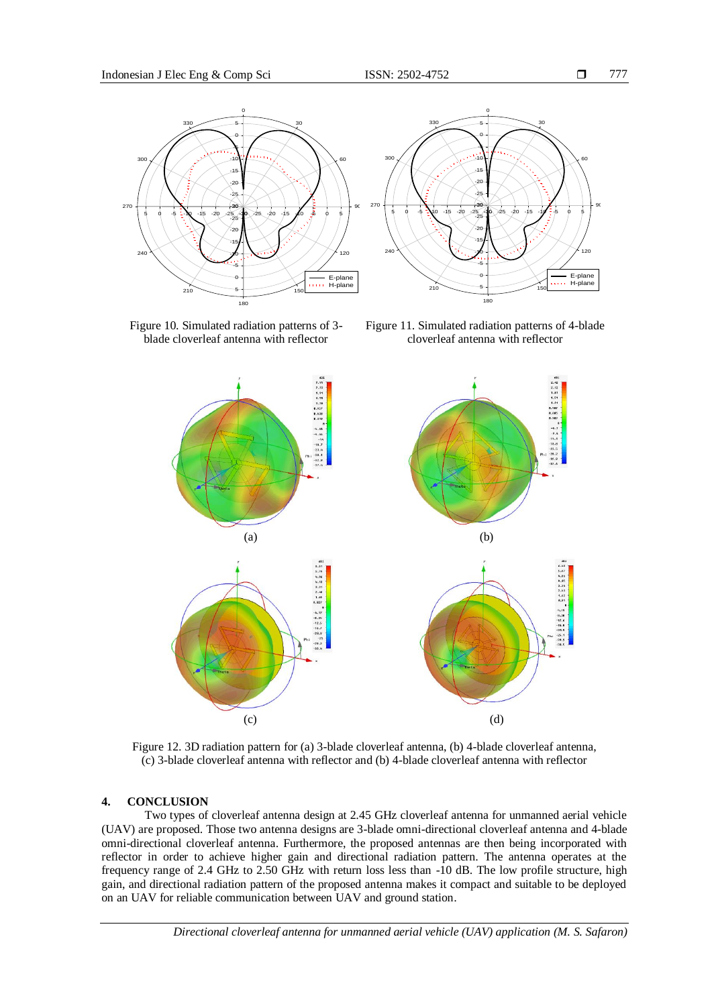

Figure 10. Simulated radiation patterns of 3 blade cloverleaf antenna with reflector

Figure 11. Simulated radiation patterns of 4-blade cloverleaf antenna with reflector



Figure 12. 3D radiation pattern for (a) 3-blade cloverleaf antenna, (b) 4-blade cloverleaf antenna, (c) 3-blade cloverleaf antenna with reflector and (b) 4-blade cloverleaf antenna with reflector

### **4. CONCLUSION**

Two types of cloverleaf antenna design at 2.45 GHz cloverleaf antenna for unmanned aerial vehicle (UAV) are proposed. Those two antenna designs are 3-blade omni-directional cloverleaf antenna and 4-blade omni-directional cloverleaf antenna. Furthermore, the proposed antennas are then being incorporated with reflector in order to achieve higher gain and directional radiation pattern. The antenna operates at the frequency range of 2.4 GHz to 2.50 GHz with return loss less than -10 dB. The low profile structure, high gain, and directional radiation pattern of the proposed antenna makes it compact and suitable to be deployed on an UAV for reliable communication between UAV and ground station.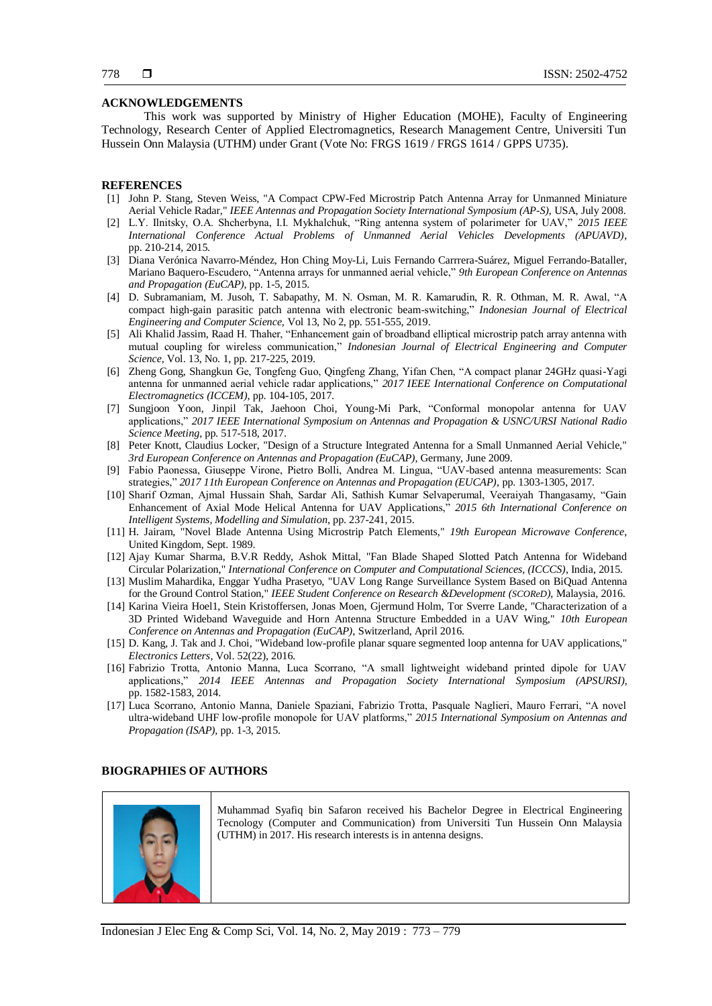#### **ACKNOWLEDGEMENTS**

This work was supported by Ministry of Higher Education (MOHE), Faculty of Engineering Technology, Research Center of Applied Electromagnetics, Research Management Centre, Universiti Tun Hussein Onn Malaysia (UTHM) under Grant (Vote No: FRGS 1619 / FRGS 1614 / GPPS U735).

#### **REFERENCES**

- [1] John P. Stang, Steven Weiss, "A Compact CPW-Fed Microstrip Patch Antenna Array for Unmanned Miniature Aerial Vehicle Radar," *IEEE Antennas and Propagation Society International Symposium (AP-S)*, USA, July 2008.
- [2] L.Y. Ilnitsky, O.A. Shcherbyna, I.I. Mykhalchuk, "Ring antenna system of polarimeter for UAV," *2015 IEEE International Conference Actual Problems of Unmanned Aerial Vehicles Developments (APUAVD)*, pp. 210-214, 2015.
- [3] Diana Verónica Navarro-Méndez, Hon Ching Moy-Li, Luis Fernando Carrrera-Suárez, Miguel Ferrando-Bataller, Mariano Baquero-Escudero, "Antenna arrays for unmanned aerial vehicle," *9th European Conference on Antennas and Propagation (EuCAP)*, pp. 1-5, 2015.
- [4] D. Subramaniam, M. Jusoh, T. Sabapathy, M. N. Osman, M. R. Kamarudin, R. R. Othman, M. R. Awal, "A compact high-gain parasitic patch antenna with electronic beam-switching," *Indonesian Journal of Electrical Engineering and Computer Science,* Vol 13, No 2, pp. 551-555, 2019.
- [5] Ali Khalid Jassim, Raad H. Thaher, "Enhancement gain of broadband elliptical microstrip patch array antenna with mutual coupling for wireless communication," *Indonesian Journal of Electrical Engineering and Computer Science*, Vol. 13, No. 1, pp. 217-225, 2019.
- [6] Zheng Gong, Shangkun Ge, Tongfeng Guo, Qingfeng Zhang, Yifan Chen, "A compact planar 24GHz quasi-Yagi antenna for unmanned aerial vehicle radar applications," *2017 IEEE International Conference on Computational Electromagnetics (ICCEM)*, pp. 104-105, 2017.
- [7] Sungjoon Yoon, Jinpil Tak, Jaehoon Choi, Young-Mi Park, "Conformal monopolar antenna for UAV applications," *2017 IEEE International Symposium on Antennas and Propagation & USNC/URSI National Radio Science Meeting*, pp. 517-518, 2017.
- [8] Peter Knott, Claudius Locker, "Design of a Structure Integrated Antenna for a Small Unmanned Aerial Vehicle," *3rd European Conference on Antennas and Propagation (EuCAP)*, Germany, June 2009.
- [9] Fabio Paonessa, Giuseppe Virone, Pietro Bolli, Andrea M. Lingua, "UAV-based antenna measurements: Scan strategies," *2017 11th European Conference on Antennas and Propagation (EUCAP)*, pp. 1303-1305, 2017.
- [10] Sharif Ozman, Ajmal Hussain Shah, Sardar Ali, Sathish Kumar Selvaperumal, Veeraiyah Thangasamy, "Gain Enhancement of Axial Mode Helical Antenna for UAV Applications," *2015 6th International Conference on Intelligent Systems, Modelling and Simulation*, pp. 237-241, 2015.
- [11] H. Jairam, "Novel Blade Antenna Using Microstrip Patch Elements," *19th European Microwave Conference*, United Kingdom, Sept. 1989.
- [12] Ajay Kumar Sharma, B.V.R Reddy, Ashok Mittal, "Fan Blade Shaped Slotted Patch Antenna for Wideband Circular Polarization," *International Conference on Computer and Computational Sciences, (ICCCS)*, India, 2015.
- [13] Muslim Mahardika, Enggar Yudha Prasetyo, "UAV Long Range Surveillance System Based on BiQuad Antenna for the Ground Control Station," *IEEE Student Conference on Research &Development (SCOReD)*, Malaysia, 2016.
- [14] Karina Vieira Hoel1, Stein Kristoffersen, Jonas Moen, Gjermund Holm, Tor Sverre Lande, "Characterization of a 3D Printed Wideband Waveguide and Horn Antenna Structure Embedded in a UAV Wing," *10th European Conference on Antennas and Propagation (EuCAP)*, Switzerland, April 2016.
- [15] D. Kang, J. Tak and J. Choi, "Wideband low-profile planar square segmented loop antenna for UAV applications," *Electronics Letters*, Vol. 52(22), 2016.
- [16] Fabrizio Trotta, Antonio Manna, Luca Scorrano, "A small lightweight wideband printed dipole for UAV applications," *2014 IEEE Antennas and Propagation Society International Symposium (APSURSI)*, pp. 1582-1583, 2014.
- [17] Luca Scorrano, Antonio Manna, Daniele Spaziani, Fabrizio Trotta, Pasquale Naglieri, Mauro Ferrari, "A novel ultra-wideband UHF low-profile monopole for UAV platforms," *2015 International Symposium on Antennas and Propagation (ISAP)*, pp. 1-3, 2015.

#### **BIOGRAPHIES OF AUTHORS**



Muhammad Syafiq bin Safaron received his Bachelor Degree in Electrical Engineering Tecnology (Computer and Communication) from Universiti Tun Hussein Onn Malaysia (UTHM) in 2017. His research interests is in antenna designs.